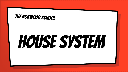## THE NORWOOD SCHOOL

# House System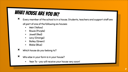# WHAT HOUSE ARE YOU IN?

× Every member of the school is in a house. Students, teachers and support staff are

all part of one of the following six houses:

- × Weir (Yellow)
- × Bowie (Purple)
- × Jowell (Red)
- × Levy (Orange)
- × Bailey (Green)
- × Blake (Blue)
- × Which house do you belong to?
- × Who else in your form is in your house?
	- × Year 7s you will receive your house very soon!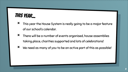#### THIS YEAR...

- × This year the House System is really going to be a major feature of our school's calendar.
- × There will be a number of events organised, house assemblies taking place, charities supported and lots of celebrations!
- × We need as many of you to be an active part of this as possible!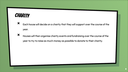#### **CHARITY**

- × Each house will decide on a charity that they will support over the course of the year.
- × Houses will then organise charity events and fundraising over the course of the year to try to raise as much money as possible to donate to their charity.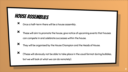### House assemblies

- × Once a half-term there will be a house assembly.
- × These will aim to promote the house, give notice of upcoming events that houses can compete in and celebrate successes within the house.
- 

× They will be organised by the House Champion and the Heads of House.

 $\bm{x}$  (These will obviously not be able to take place in the usual format during bubbles, but we will look at what we can do remotely).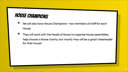### House champions

- × We will also have House Champions two members of staff for each House.
- × They will work with the Heads of House to organise house assemblies, help choose a House charity, but mostly they will be a great cheerleader for their house!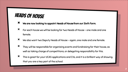#### HEADS OF HOUSE

- × We are now looking to appoint Heads of House from our Sixth Form.
- × For each house we will be looking for two Heads of House one male and one female.
- × We also want two Deputy Heads of House again, one male and one female.
- × They will be responsible for organising events and fundraising for their house, as well as taking charge of competitions, or delegating responsibility for this.
- × This is great for your UCAS applications and CVs, and it is a brilliant way of showing that you are a key part of the school.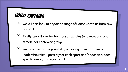### HOUSE captains

- × We will also look to appoint a range of House Captains from KS3 and KS4.
- × Firstly, we will look for two house captains (one male and one female) for each year group.
- $\mathsf{\times}\;$  We may then at the possibility of having other captains or leadership roles - possibly for each sport and/or possibly each specific area (drama, art, etc.)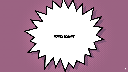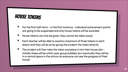#### **HOUSE TOKENS**

- $\mathsf{\times}\quad$  For the first half-term in the first instance individual achievement points are going to be suspended and only house tokens will be awarded.
- × House tokens can only be given, they cannot be taken away!
- × Each teacher will be able to award a maximum of three tokens in each lesson and they will do so by giving the student the token directly.
- $x$  The student will then take the token and place it into their house slot initially these will be within year group bubbles, but eventually they will be in a central space in the atrium so everyone can see the progress of their house!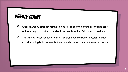#### WEEKLY COUNT

- × Every Thursday after school the tokens will be counted and the standings sent out for every form tutor to read out the results in their Friday tutor sessions.
- $\bm{x}$  The winning house for each week will be displayed centrally possibly in each corridor during bubbles - so that everyone is aware of who is the current leader.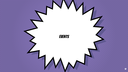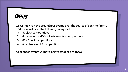#### **EVENTS**

We will look to have around four events over the course of each half term, and these will be in the following categories:

- 1. Subject competitions
- 2. Performing and Visual Arts events / competitions
- 3. PE / Sport competitions
- 4. A central event / competition.

All of these events will have points attached to them.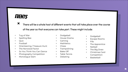#### **EVENTS**

- × There will be a whole host of different events that will take place over the course of the year so that everyone can take part. These might include:
- × Tug of War
- × Spelling Bee
- × Quiz
- × Football
- × Orienteering / Treasure Hunt
- × The Norwood Factor
- × So You Think You Can Dance
- × Photography Competition
- × Monologue Slam
- × Dodgeball
- × House Drama
- × Gaming
- × Mathletics
- × Chess
- × Trampolining
- × Bake Off
- × Table Tennis
- × Debating
- × Dodgeball
- × Escape Rooms
- × Fifa
- × The Apprentice
- × Netball
- × The Big Draw
- × Christmas Card Competition
- × Basketball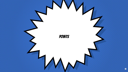**POINTS**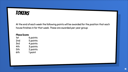#### **TOKENS**

At the end of each week the following points will be awarded for the position that each house finishes in for that week. These are awarded per year group:

| <b>Place Score</b> |          |
|--------------------|----------|
| 1st                | 6 points |
| 2nd                | 5 points |
| 3rd                | 4 points |
| 4th                | 3 points |
| 5th                | 2 points |
| 6th                | 1 point  |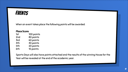#### **EVENTS**

When an event takes place the following points will be awarded:

#### Place Score

| 1st | 100 points |
|-----|------------|
| 2nd | 80 points  |
| 3rd | 60 points  |
| 4th | 40 points  |
| 5th | 20 points  |
| 6th | 10 points  |

Sports Days will also have points attached and the results of the winning House for the Year will be revealed at the end of the academic year.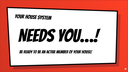# YOUR HOUSE SYSTEM

# NEEDS YOU...!

Be ready to be an active member of your house!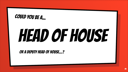#### COULD YOU BE A...

# HEAD OF HOUSE

Or a deputy head of house…?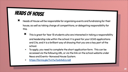#### HEADS OF HOUSE

- × Heads of House will be responsible for organising events and fundraising for their house, as well as taking charge of competitions, or delegating responsibility for this.
	- × This is great for Year 13 students who are interested in taking a responsibility and leadership role within the school. It is great for your UCAS applications and CVs, and it is a brilliant way of showing that you are a key part of the school.
	- To apply, you need to complete the short application form. This can be accessed via the following URL, or via the link on the school website under News and Events- Norwood House System.
	- × <https://forms.gle/TvnYw7zxb4xEcLns8>